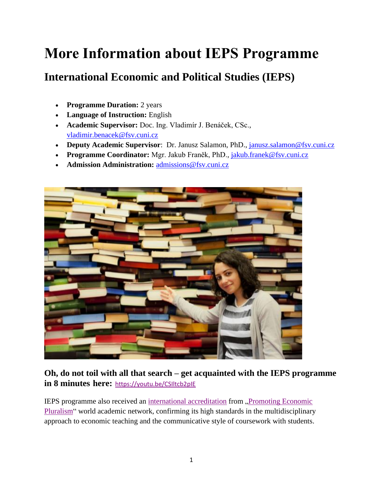# **More Information about IEPS Programme**

### **International Economic and Political Studies (IEPS)**

- **Programme Duration:** 2 years
- **Language of Instruction:** English
- **Academic Supervisor:** Doc. Ing. Vladimír J. Benáček, CSc., [vladimir.benacek@fsv.cuni.cz](mailto:vladimir.benacek@fsv.cuni.cz)
- **Deputy Academic Supervisor**: Dr. Janusz Salamon, PhD., *janusz.salamon@fsv.cuni.cz*
- **Programme Coordinator:** Mgr. Jakub Franěk, PhD., [jakub.franek@fsv.cuni.cz](mailto:jakub.franek@fsv.cuni.cz)
- **Admission Administration:** [admissions@fsv.cuni.cz](mailto:admissions@fsv.cuni.cz)



### **Oh, do not toil with all that search – get acquainted with the IEPS programme in 8 minutes here:** <https://youtu.be/CSIltcb2pIE>

IEPS programme also received an [international accreditation](https://economicpluralism.org/pluralist-courses/international-economic-and-political-studies-charles-university-prague/) from ["Promoting Economic](https://economicpluralism.org/about-us/)  [Pluralism"](https://economicpluralism.org/about-us/) world academic network, confirming its high standards in the multidisciplinary approach to economic teaching and the communicative style of coursework with students.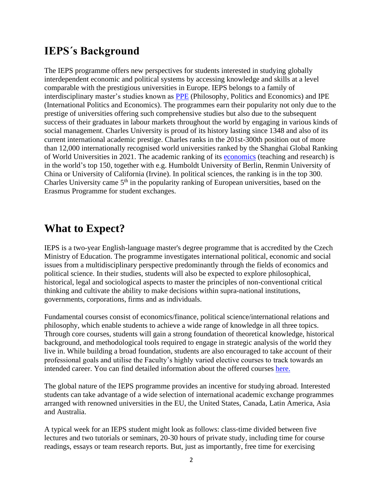### **IEPS´s Background**

The IEPS programme offers new perspectives for students interested in studying globally interdependent economic and political systems by accessing knowledge and skills at a level comparable with the prestigious universities in Europe. IEPS belongs to a family of interdisciplinary master's studies known as [PPE](https://en.wikipedia.org/wiki/Philosophy,_politics_and_economics) (Philosophy, Politics and Economics) and IPE (International Politics and Economics). The programmes earn their popularity not only due to the prestige of universities offering such comprehensive studies but also due to the subsequent success of their graduates in labour markets throughout the world by engaging in various kinds of social management. Charles University is proud of its history lasting since 1348 and also of its current international academic prestige. Charles ranks in the 201st-300th position out of more than 12,000 internationally recognised world universities ranked by the Shanghai Global Ranking of World Universities in 2021. The academic ranking of its [economics](https://www.shanghairanking.com/rankings/gras/2021/RS0501) (teaching and research) is in the world's top 150, together with e.g. Humboldt University of Berlin, Renmin University of China or University of California (Irvine). In political sciences, the ranking is in the top 300. Charles University came  $5<sup>th</sup>$  in the popularity ranking of European universities, based on the Erasmus Programme for student exchanges.

### **What to Expect?**

IEPS is a two-year English-language master's degree programme that is accredited by the Czech Ministry of Education. The programme investigates international political, economic and social issues from a multidisciplinary perspective predominantly through the fields of economics and political science. In their studies, students will also be expected to explore philosophical, historical, legal and sociological aspects to master the principles of non-conventional critical thinking and cultivate the ability to make decisions within supra-national institutions, governments, corporations, firms and as individuals.

Fundamental courses consist of economics/finance, political science/international relations and philosophy, which enable students to achieve a wide range of knowledge in all three topics. Through core courses, students will gain a strong foundation of theoretical knowledge, historical background, and methodological tools required to engage in strategic analysis of the world they live in. While building a broad foundation, students are also encouraged to take account of their professional goals and utilise the Faculty's highly varied elective courses to track towards an intended career. You can find detailed information about the offered courses [here.](https://karolinka.fsv.cuni.cz/KFSV-1347.html)

The global nature of the IEPS programme provides an incentive for studying abroad. Interested students can take advantage of a wide selection of international academic exchange programmes arranged with renowned universities in the EU, the United States, Canada, Latin America, Asia and Australia.

A typical week for an IEPS student might look as follows: class-time divided between five lectures and two tutorials or seminars, 20-30 hours of private study, including time for course readings, essays or team research reports. But, just as importantly, free time for exercising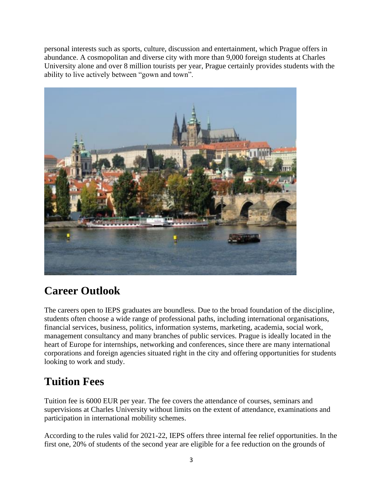personal interests such as sports, culture, discussion and entertainment, which Prague offers in abundance. A cosmopolitan and diverse city with more than 9,000 foreign students at Charles University alone and over 8 million tourists per year, Prague certainly provides students with the ability to live actively between "gown and town".



## **Career Outlook**

The careers open to IEPS graduates are boundless. Due to the broad foundation of the discipline, students often choose a wide range of professional paths, including international organisations, financial services, business, politics, information systems, marketing, academia, social work, management consultancy and many branches of public services. Prague is ideally located in the heart of Europe for internships, networking and conferences, since there are many international corporations and foreign agencies situated right in the city and offering opportunities for students looking to work and study.

## **Tuition Fees**

Tuition fee is 6000 EUR per year. The fee covers the attendance of courses, seminars and supervisions at Charles University without limits on the extent of attendance, examinations and participation in international mobility schemes.

According to the rules valid for 2021-22, IEPS offers three internal fee relief opportunities. In the first one, 20% of students of the second year are eligible for a fee reduction on the grounds of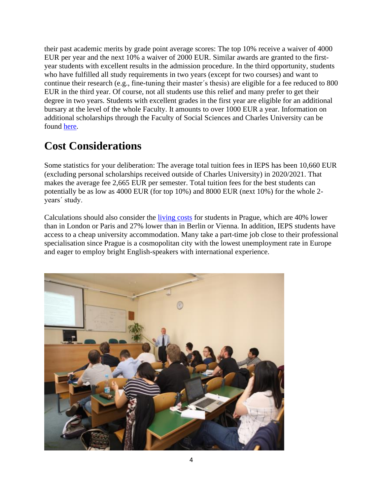their past academic merits by grade point average scores: The top 10% receive a waiver of 4000 EUR per year and the next 10% a waiver of 2000 EUR. Similar awards are granted to the firstyear students with excellent results in the admission procedure. In the third opportunity, students who have fulfilled all study requirements in two years (except for two courses) and want to continue their research (e.g., fine-tuning their master´s thesis) are eligible for a fee reduced to 800 EUR in the third year. Of course, not all students use this relief and many prefer to get their degree in two years. Students with excellent grades in the first year are eligible for an additional bursary at the level of the whole Faculty. It amounts to over 1000 EUR a year. Information on additional scholarships through the Faculty of Social Sciences and Charles University can be found [here.](https://fsv.cuni.cz/en/admissions/scholarships-and-funding)

### **Cost Considerations**

Some statistics for your deliberation: The average total tuition fees in IEPS has been 10,660 EUR (excluding personal scholarships received outside of Charles University) in 2020/2021. That makes the average fee 2,665 EUR per semester. Total tuition fees for the best students can potentially be as low as 4000 EUR (for top 10%) and 8000 EUR (next 10%) for the whole 2 years´ study.

Calculations should also consider the [living costs](https://www.numbeo.com/cost-of-living/in/Prague) for students in Prague, which are 40% lower than in London or Paris and 27% lower than in Berlin or Vienna. In addition, IEPS students have access to a cheap university accommodation. Many take a part-time job close to their professional specialisation since Prague is a cosmopolitan city with the lowest unemployment rate in Europe and eager to employ bright English-speakers with international experience.

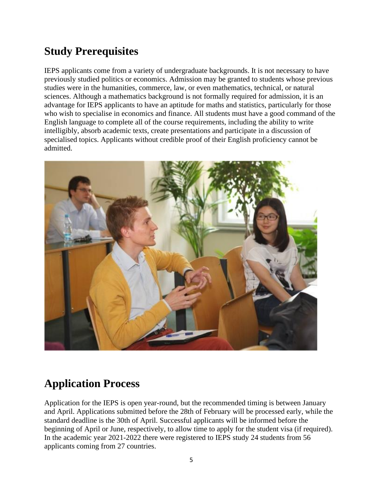### **Study Prerequisites**

IEPS applicants come from a variety of undergraduate backgrounds. It is not necessary to have previously studied politics or economics. Admission may be granted to students whose previous studies were in the humanities, commerce, law, or even mathematics, technical, or natural sciences. Although a mathematics background is not formally required for admission, it is an advantage for IEPS applicants to have an aptitude for maths and statistics, particularly for those who wish to specialise in economics and finance. All students must have a good command of the English language to complete all of the course requirements, including the ability to write intelligibly, absorb academic texts, create presentations and participate in a discussion of specialised topics. Applicants without credible proof of their English proficiency cannot be admitted.



### **Application Process**

Application for the IEPS is open year-round, but the recommended timing is between January and April. Applications submitted before the 28th of February will be processed early, while the standard deadline is the 30th of April. Successful applicants will be informed before the beginning of April or June, respectively, to allow time to apply for the student visa (if required). In the academic year 2021-2022 there were registered to IEPS study 24 students from 56 applicants coming from 27 countries.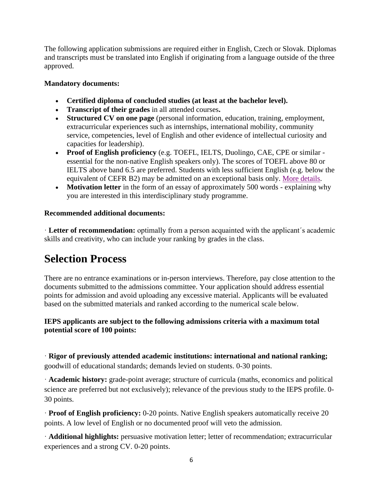The following application submissions are required either in English, Czech or Slovak. Diplomas and transcripts must be translated into English if originating from a language outside of the three approved.

#### **Mandatory documents:**

- **Certified diploma of concluded studies (at least at the bachelor level).**
- **Transcript of their grades** in all attended courses**.**
- **Structured CV on one page** (personal information, education, training, employment, extracurricular experiences such as internships, international mobility, community service, competencies, level of English and other evidence of intellectual curiosity and capacities for leadership).
- **Proof of English proficiency** (e.g. TOEFL, IELTS, Duolingo, CAE, CPE or similar essential for the non-native English speakers only). The scores of TOEFL above 80 or IELTS above band 6.5 are preferred. Students with less sufficient English (e.g. below the equivalent of CEFR B2) may be admitted on an exceptional basis only. [More details.](https://is.cuni.cz/studium/eng/prijimacky/index.php?do=detail_obor&id_obor=26319)
- **Motivation letter** in the form of an essay of approximately 500 words explaining why you are interested in this interdisciplinary study programme.

#### **Recommended additional documents:**

· **Letter of recommendation:** optimally from a person acquainted with the applicant´s academic skills and creativity, who can include your ranking by grades in the class.

### **Selection Process**

There are no entrance examinations or in-person interviews. Therefore, pay close attention to the documents submitted to the admissions committee. Your application should address essential points for admission and avoid uploading any excessive material. Applicants will be evaluated based on the submitted materials and ranked according to the numerical scale below.

#### **IEPS applicants are subject to the following admissions criteria with a maximum total potential score of 100 points:**

· **Rigor of previously attended academic institutions: international and national ranking;**  goodwill of educational standards; demands levied on students. 0-30 points.

· **Academic history:** grade-point average; structure of curricula (maths, economics and political science are preferred but not exclusively); relevance of the previous study to the IEPS profile. 0- 30 points.

· **Proof of English proficiency:** 0-20 points. Native English speakers automatically receive 20 points. A low level of English or no documented proof will veto the admission.

· **Additional highlights:** persuasive motivation letter; letter of recommendation; extracurricular experiences and a strong CV. 0-20 points.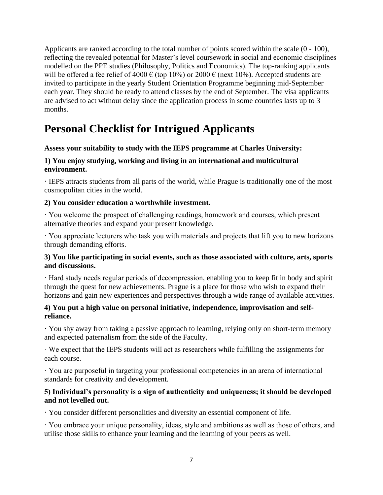Applicants are ranked according to the total number of points scored within the scale (0 - 100), reflecting the revealed potential for Master's level coursework in social and economic disciplines modelled on the PPE studies (Philosophy, Politics and Economics). The top-ranking applicants will be offered a fee relief of 4000  $\epsilon$  (top 10%) or 2000  $\epsilon$  (next 10%). Accepted students are invited to participate in the yearly Student Orientation Programme beginning mid-September each year. They should be ready to attend classes by the end of September. The visa applicants are advised to act without delay since the application process in some countries lasts up to 3 months.

### **Personal Checklist for Intrigued Applicants**

#### **Assess your suitability to study with the IEPS programme at Charles University:**

#### **1) You enjoy studying, working and living in an international and multicultural environment.**

**·** IEPS attracts students from all parts of the world, while Prague is traditionally one of the most cosmopolitan cities in the world.

#### **2) You consider education a worthwhile investment.**

· You welcome the prospect of challenging readings, homework and courses, which present alternative theories and expand your present knowledge.

· You appreciate lecturers who task you with materials and projects that lift you to new horizons through demanding efforts.

#### **3) You like participating in social events, such as those associated with culture, arts, sports and discussions.**

· Hard study needs regular periods of decompression, enabling you to keep fit in body and spirit through the quest for new achievements. Prague is a place for those who wish to expand their horizons and gain new experiences and perspectives through a wide range of available activities.

#### **4) You put a high value on personal initiative, independence, improvisation and selfreliance.**

**·** You shy away from taking a passive approach to learning, relying only on short-term memory and expected paternalism from the side of the Faculty.

· We expect that the IEPS students will act as researchers while fulfilling the assignments for each course.

· You are purposeful in targeting your professional competencies in an arena of international standards for creativity and development.

#### **5) Individual's personality is a sign of authenticity and uniqueness; it should be developed and not levelled out.**

**·** You consider different personalities and diversity an essential component of life.

· You embrace your unique personality, ideas, style and ambitions as well as those of others, and utilise those skills to enhance your learning and the learning of your peers as well.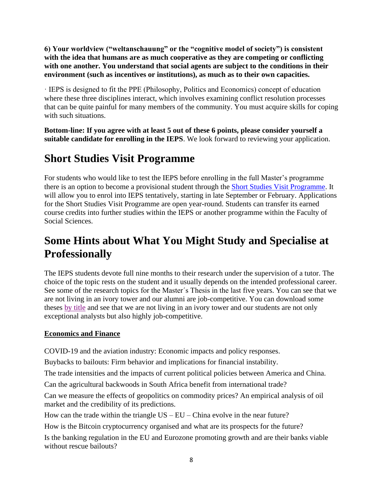**6) Your worldview ("weltanschauung" or the "cognitive model of society") is consistent with the idea that humans are as much cooperative as they are competing or conflicting with one another. You understand that social agents are subject to the conditions in their environment (such as incentives or institutions), as much as to their own capacities.** 

· IEPS is designed to fit the PPE (Philosophy, Politics and Economics) concept of education where these three disciplines interact, which involves examining conflict resolution processes that can be quite painful for many members of the community. You must acquire skills for coping with such situations.

**Bottom-line: If you agree with at least 5 out of these 6 points, please consider yourself a suitable candidate for enrolling in the IEPS**. We look forward to reviewing your application.

### **Short Studies Visit Programme**

For students who would like to test the IEPS before enrolling in the full Master's programme there is an option to become a provisional student through the [Short Studies Visit Programme.](https://fsv.cuni.cz/en/admissions/exchange-students-admissions/short-study-visit-programme) It will allow you to enrol into IEPS tentatively, starting in late September or February. Applications for the Short Studies Visit Programme are open year-round. Students can transfer its earned course credits into further studies within the IEPS or another programme within the Faculty of Social Sciences.

### **Some Hints about What You Might Study and Specialise at Professionally**

The IEPS students devote full nine months to their research under the supervision of a tutor. The choice of the topic rests on the student and it usually depends on the intended professional career. See some of the research topics for the Master´s Thesis in the last five years. You can see that we are not living in an ivory tower and our alumni are job-competitive. You can download some theses [by title](https://cuni.primo.exlibrisgroup.com/discovery/browse?vid=420CKIS_INST:UKAZ&lang=en) and see that we are not living in an ivory tower and our students are not only exceptional analysts but also highly job-competitive.

#### **Economics and Finance**

COVID-19 and the aviation industry: Economic impacts and policy responses.

Buybacks to bailouts: Firm behavior and implications for financial instability.

The trade intensities and the impacts of current political policies between America and China.

Can the agricultural backwoods in South Africa benefit from international trade?

Can we measure the effects of geopolitics on commodity prices? An empirical analysis of oil market and the credibility of its predictions.

How can the trade within the triangle  $US - EU - China$  evolve in the near future?

How is the Bitcoin cryptocurrency organised and what are its prospects for the future?

Is the banking regulation in the EU and Eurozone promoting growth and are their banks viable without rescue bailouts?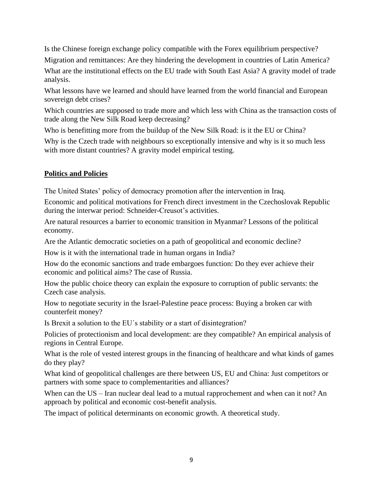Is the Chinese foreign exchange policy compatible with the Forex equilibrium perspective?

Migration and remittances: Are they hindering the development in countries of Latin America?

What are the institutional effects on the EU trade with South East Asia? A gravity model of trade analysis.

What lessons have we learned and should have learned from the world financial and European sovereign debt crises?

Which countries are supposed to trade more and which less with China as the transaction costs of trade along the New Silk Road keep decreasing?

Who is benefitting more from the buildup of the New Silk Road: is it the EU or China?

Why is the Czech trade with neighbours so exceptionally intensive and why is it so much less with more distant countries? A gravity model empirical testing.

#### **Politics and Policies**

The United States' policy of democracy promotion after the intervention in Iraq.

Economic and political motivations for French direct investment in the Czechoslovak Republic during the interwar period: Schneider-Creusot's activities.

Are natural resources a barrier to economic transition in Myanmar? Lessons of the political economy.

Are the Atlantic democratic societies on a path of geopolitical and economic decline?

How is it with the international trade in human organs in India?

How do the economic sanctions and trade embargoes function: Do they ever achieve their economic and political aims? The case of Russia.

How the public choice theory can explain the exposure to corruption of public servants: the Czech case analysis.

How to negotiate security in the Israel-Palestine peace process: Buying a broken car with counterfeit money?

Is Brexit a solution to the EU´s stability or a start of disintegration?

Policies of protectionism and local development: are they compatible? An empirical analysis of regions in Central Europe.

What is the role of vested interest groups in the financing of healthcare and what kinds of games do they play?

What kind of geopolitical challenges are there between US, EU and China: Just competitors or partners with some space to complementarities and alliances?

When can the US – Iran nuclear deal lead to a mutual rapprochement and when can it not? An approach by political and economic cost-benefit analysis.

The impact of political determinants on economic growth. A theoretical study.